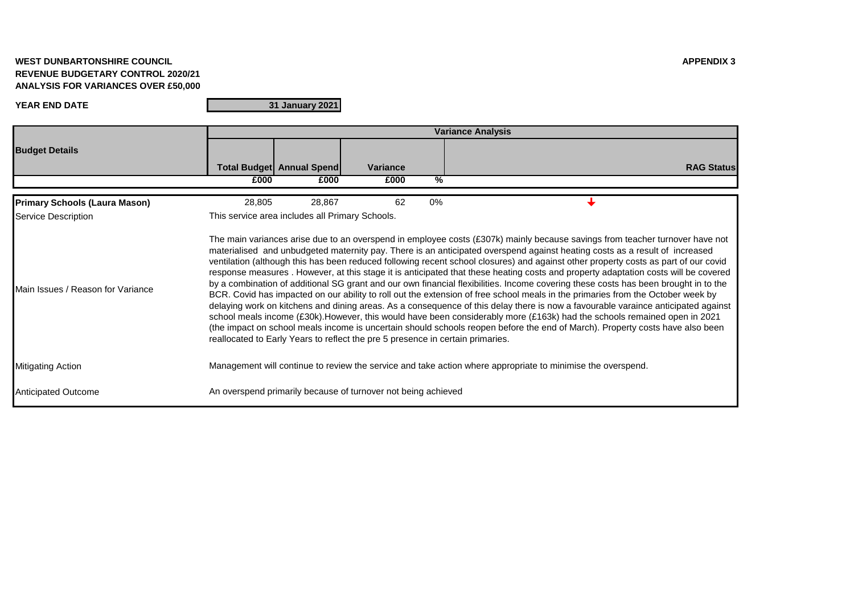## **WEST DUNBARTONSHIRE COUNCIL APPENDIX 3 REVENUE BUDGETARY CONTROL 2020/21 ANALYSIS FOR VARIANCES OVER £50,000**

## **YEAR END DATE**

**31 January 2021**

|                                      | <b>Variance Analysis</b>                                                                                                                                                                                                                                                                                                                                                                                                                                                                                                                                                                                                                                                                                                                                                                                                                                                                                                                                                                                                                                                                                                                                                                                                                                                                                |                                  |                 |       |                   |  |  |  |
|--------------------------------------|---------------------------------------------------------------------------------------------------------------------------------------------------------------------------------------------------------------------------------------------------------------------------------------------------------------------------------------------------------------------------------------------------------------------------------------------------------------------------------------------------------------------------------------------------------------------------------------------------------------------------------------------------------------------------------------------------------------------------------------------------------------------------------------------------------------------------------------------------------------------------------------------------------------------------------------------------------------------------------------------------------------------------------------------------------------------------------------------------------------------------------------------------------------------------------------------------------------------------------------------------------------------------------------------------------|----------------------------------|-----------------|-------|-------------------|--|--|--|
| <b>Budget Details</b>                |                                                                                                                                                                                                                                                                                                                                                                                                                                                                                                                                                                                                                                                                                                                                                                                                                                                                                                                                                                                                                                                                                                                                                                                                                                                                                                         |                                  |                 |       |                   |  |  |  |
|                                      |                                                                                                                                                                                                                                                                                                                                                                                                                                                                                                                                                                                                                                                                                                                                                                                                                                                                                                                                                                                                                                                                                                                                                                                                                                                                                                         | <b>Total Budget Annual Spend</b> | <b>Variance</b> |       | <b>RAG Status</b> |  |  |  |
|                                      | £000                                                                                                                                                                                                                                                                                                                                                                                                                                                                                                                                                                                                                                                                                                                                                                                                                                                                                                                                                                                                                                                                                                                                                                                                                                                                                                    | £000                             | £000            | %     |                   |  |  |  |
| <b>Primary Schools (Laura Mason)</b> | 28,805                                                                                                                                                                                                                                                                                                                                                                                                                                                                                                                                                                                                                                                                                                                                                                                                                                                                                                                                                                                                                                                                                                                                                                                                                                                                                                  | 28,867                           | 62              | $0\%$ |                   |  |  |  |
| Service Description                  | This service area includes all Primary Schools.                                                                                                                                                                                                                                                                                                                                                                                                                                                                                                                                                                                                                                                                                                                                                                                                                                                                                                                                                                                                                                                                                                                                                                                                                                                         |                                  |                 |       |                   |  |  |  |
| Main Issues / Reason for Variance    | The main variances arise due to an overspend in employee costs (£307k) mainly because savings from teacher turnover have not<br>materialised and unbudgeted maternity pay. There is an anticipated overspend against heating costs as a result of increased<br>ventilation (although this has been reduced following recent school closures) and against other property costs as part of our covid<br>response measures. However, at this stage it is anticipated that these heating costs and property adaptation costs will be covered<br>by a combination of additional SG grant and our own financial flexibilities. Income covering these costs has been brought in to the<br>BCR. Covid has impacted on our ability to roll out the extension of free school meals in the primaries from the October week by<br>delaying work on kitchens and dining areas. As a consequence of this delay there is now a favourable varaince anticipated against<br>school meals income (£30k). However, this would have been considerably more (£163k) had the schools remained open in 2021<br>(the impact on school meals income is uncertain should schools reopen before the end of March). Property costs have also been<br>reallocated to Early Years to reflect the pre 5 presence in certain primaries. |                                  |                 |       |                   |  |  |  |
| <b>Mitigating Action</b>             | Management will continue to review the service and take action where appropriate to minimise the overspend.                                                                                                                                                                                                                                                                                                                                                                                                                                                                                                                                                                                                                                                                                                                                                                                                                                                                                                                                                                                                                                                                                                                                                                                             |                                  |                 |       |                   |  |  |  |
| <b>Anticipated Outcome</b>           | An overspend primarily because of turnover not being achieved                                                                                                                                                                                                                                                                                                                                                                                                                                                                                                                                                                                                                                                                                                                                                                                                                                                                                                                                                                                                                                                                                                                                                                                                                                           |                                  |                 |       |                   |  |  |  |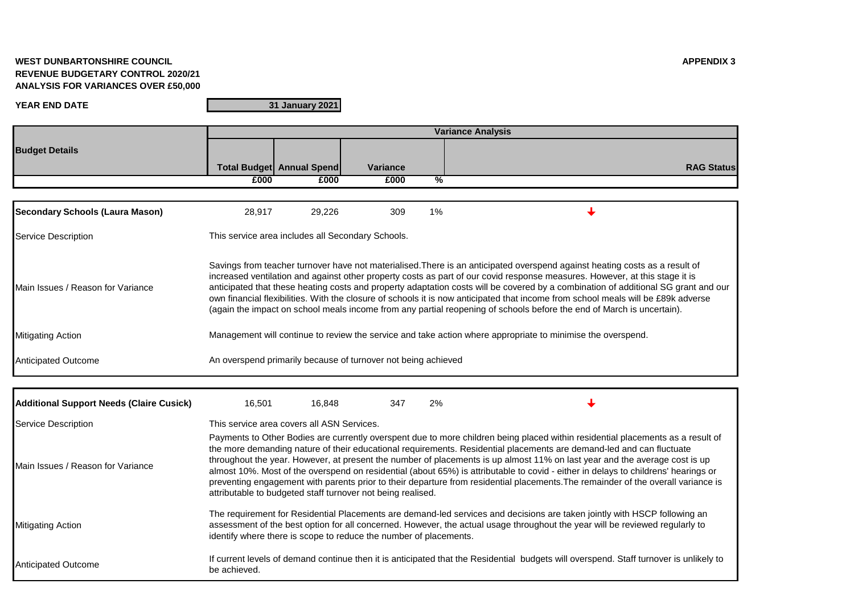## **WEST DUNBARTONSHIRE COUNCIL APPENDIX 3 REVENUE BUDGETARY CONTROL 2020/21 ANALYSIS FOR VARIANCES OVER £50,000**

**YEAR END DATE**

**31 January 2021**

|                                                 | <b>Variance Analysis</b>                                                                                                                                                                                                                                                                                                                                                                                                                                                                                                                                                                                                                                                                                                        |                                  |                 |    |                   |  |  |  |
|-------------------------------------------------|---------------------------------------------------------------------------------------------------------------------------------------------------------------------------------------------------------------------------------------------------------------------------------------------------------------------------------------------------------------------------------------------------------------------------------------------------------------------------------------------------------------------------------------------------------------------------------------------------------------------------------------------------------------------------------------------------------------------------------|----------------------------------|-----------------|----|-------------------|--|--|--|
| <b>Budget Details</b>                           |                                                                                                                                                                                                                                                                                                                                                                                                                                                                                                                                                                                                                                                                                                                                 |                                  |                 |    |                   |  |  |  |
|                                                 |                                                                                                                                                                                                                                                                                                                                                                                                                                                                                                                                                                                                                                                                                                                                 | <b>Total Budget Annual Spend</b> | <b>Variance</b> |    | <b>RAG Status</b> |  |  |  |
|                                                 | £000                                                                                                                                                                                                                                                                                                                                                                                                                                                                                                                                                                                                                                                                                                                            | £000                             | £000            | %  |                   |  |  |  |
|                                                 |                                                                                                                                                                                                                                                                                                                                                                                                                                                                                                                                                                                                                                                                                                                                 |                                  |                 |    |                   |  |  |  |
| <b>Secondary Schools (Laura Mason)</b>          | 28,917                                                                                                                                                                                                                                                                                                                                                                                                                                                                                                                                                                                                                                                                                                                          | 29,226                           | 309             | 1% |                   |  |  |  |
| Service Description                             | This service area includes all Secondary Schools.                                                                                                                                                                                                                                                                                                                                                                                                                                                                                                                                                                                                                                                                               |                                  |                 |    |                   |  |  |  |
| Main Issues / Reason for Variance               | Savings from teacher turnover have not materialised. There is an anticipated overspend against heating costs as a result of<br>increased ventilation and against other property costs as part of our covid response measures. However, at this stage it is<br>anticipated that these heating costs and property adaptation costs will be covered by a combination of additional SG grant and our<br>own financial flexibilities. With the closure of schools it is now anticipated that income from school meals will be £89k adverse<br>(again the impact on school meals income from any partial reopening of schools before the end of March is uncertain).                                                                  |                                  |                 |    |                   |  |  |  |
| <b>Mitigating Action</b>                        | Management will continue to review the service and take action where appropriate to minimise the overspend.                                                                                                                                                                                                                                                                                                                                                                                                                                                                                                                                                                                                                     |                                  |                 |    |                   |  |  |  |
| <b>Anticipated Outcome</b>                      | An overspend primarily because of turnover not being achieved                                                                                                                                                                                                                                                                                                                                                                                                                                                                                                                                                                                                                                                                   |                                  |                 |    |                   |  |  |  |
|                                                 |                                                                                                                                                                                                                                                                                                                                                                                                                                                                                                                                                                                                                                                                                                                                 |                                  |                 |    |                   |  |  |  |
| <b>Additional Support Needs (Claire Cusick)</b> | 16,501                                                                                                                                                                                                                                                                                                                                                                                                                                                                                                                                                                                                                                                                                                                          | 16,848                           | 347             | 2% |                   |  |  |  |
| Service Description                             | This service area covers all ASN Services.                                                                                                                                                                                                                                                                                                                                                                                                                                                                                                                                                                                                                                                                                      |                                  |                 |    |                   |  |  |  |
| Main Issues / Reason for Variance               | Payments to Other Bodies are currently overspent due to more children being placed within residential placements as a result of<br>the more demanding nature of their educational requirements. Residential placements are demand-led and can fluctuate<br>throughout the year. However, at present the number of placements is up almost 11% on last year and the average cost is up<br>almost 10%. Most of the overspend on residential (about 65%) is attributable to covid - either in delays to childrens' hearings or<br>preventing engagement with parents prior to their departure from residential placements. The remainder of the overall variance is<br>attributable to budgeted staff turnover not being realised. |                                  |                 |    |                   |  |  |  |
| <b>Mitigating Action</b>                        | The requirement for Residential Placements are demand-led services and decisions are taken jointly with HSCP following an<br>assessment of the best option for all concerned. However, the actual usage throughout the year will be reviewed regularly to<br>identify where there is scope to reduce the number of placements.                                                                                                                                                                                                                                                                                                                                                                                                  |                                  |                 |    |                   |  |  |  |
| <b>Anticipated Outcome</b>                      | If current levels of demand continue then it is anticipated that the Residential budgets will overspend. Staff turnover is unlikely to<br>be achieved.                                                                                                                                                                                                                                                                                                                                                                                                                                                                                                                                                                          |                                  |                 |    |                   |  |  |  |